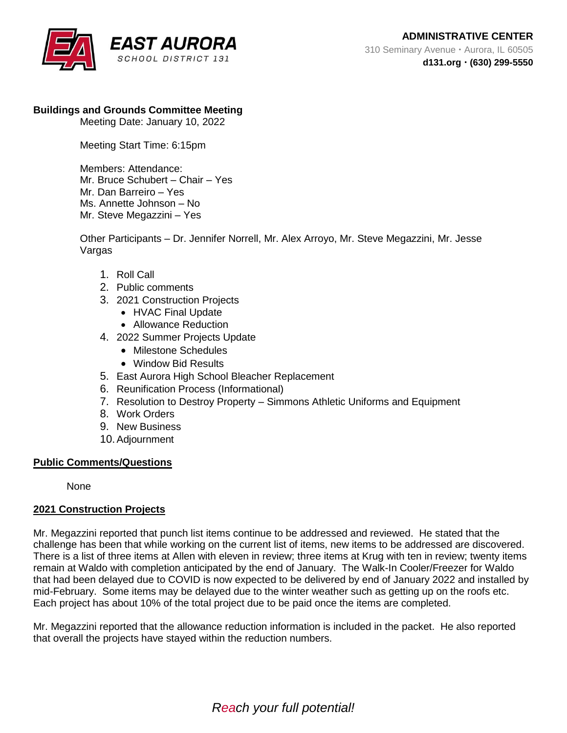

## **Buildings and Grounds Committee Meeting**

Meeting Date: January 10, 2022

Meeting Start Time: 6:15pm

Members: Attendance: Mr. Bruce Schubert – Chair – Yes Mr. Dan Barreiro – Yes Ms. Annette Johnson – No Mr. Steve Megazzini – Yes

Other Participants – Dr. Jennifer Norrell, Mr. Alex Arroyo, Mr. Steve Megazzini, Mr. Jesse Vargas

- 1. Roll Call
- 2. Public comments
- 3. 2021 Construction Projects
	- HVAC Final Update
	- Allowance Reduction
- 4. 2022 Summer Projects Update
	- Milestone Schedules
	- Window Bid Results
- 5. East Aurora High School Bleacher Replacement
- 6. Reunification Process (Informational)
- 7. Resolution to Destroy Property Simmons Athletic Uniforms and Equipment
- 8. Work Orders
- 9. New Business
- 10.Adjournment

#### **Public Comments/Questions**

None

## **2021 Construction Projects**

Mr. Megazzini reported that punch list items continue to be addressed and reviewed. He stated that the challenge has been that while working on the current list of items, new items to be addressed are discovered. There is a list of three items at Allen with eleven in review; three items at Krug with ten in review; twenty items remain at Waldo with completion anticipated by the end of January. The Walk-In Cooler/Freezer for Waldo that had been delayed due to COVID is now expected to be delivered by end of January 2022 and installed by mid-February. Some items may be delayed due to the winter weather such as getting up on the roofs etc. Each project has about 10% of the total project due to be paid once the items are completed.

Mr. Megazzini reported that the allowance reduction information is included in the packet. He also reported that overall the projects have stayed within the reduction numbers.

*Reach your full potential!*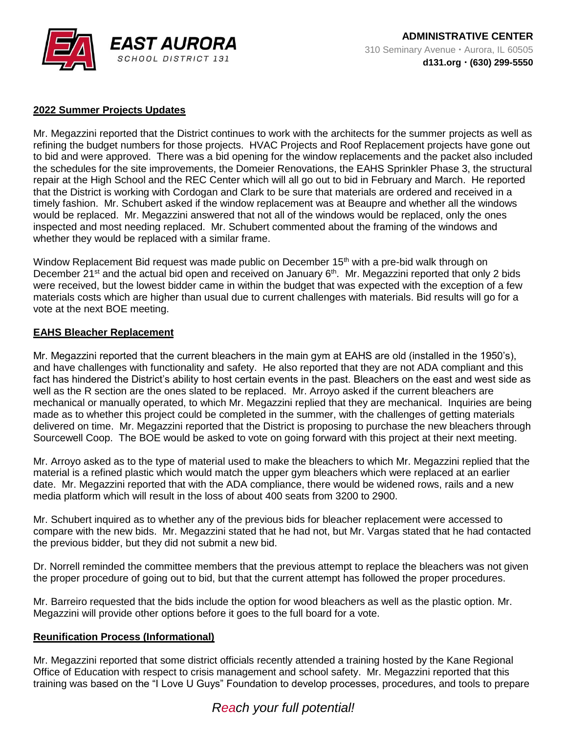

# **2022 Summer Projects Updates**

Mr. Megazzini reported that the District continues to work with the architects for the summer projects as well as refining the budget numbers for those projects. HVAC Projects and Roof Replacement projects have gone out to bid and were approved. There was a bid opening for the window replacements and the packet also included the schedules for the site improvements, the Domeier Renovations, the EAHS Sprinkler Phase 3, the structural repair at the High School and the REC Center which will all go out to bid in February and March. He reported that the District is working with Cordogan and Clark to be sure that materials are ordered and received in a timely fashion. Mr. Schubert asked if the window replacement was at Beaupre and whether all the windows would be replaced. Mr. Megazzini answered that not all of the windows would be replaced, only the ones inspected and most needing replaced. Mr. Schubert commented about the framing of the windows and whether they would be replaced with a similar frame.

Window Replacement Bid request was made public on December  $15<sup>th</sup>$  with a pre-bid walk through on December 21<sup>st</sup> and the actual bid open and received on January 6<sup>th</sup>. Mr. Megazzini reported that only 2 bids were received, but the lowest bidder came in within the budget that was expected with the exception of a few materials costs which are higher than usual due to current challenges with materials. Bid results will go for a vote at the next BOE meeting.

### **EAHS Bleacher Replacement**

Mr. Megazzini reported that the current bleachers in the main gym at EAHS are old (installed in the 1950's), and have challenges with functionality and safety. He also reported that they are not ADA compliant and this fact has hindered the District's ability to host certain events in the past. Bleachers on the east and west side as well as the R section are the ones slated to be replaced. Mr. Arroyo asked if the current bleachers are mechanical or manually operated, to which Mr. Megazzini replied that they are mechanical. Inquiries are being made as to whether this project could be completed in the summer, with the challenges of getting materials delivered on time. Mr. Megazzini reported that the District is proposing to purchase the new bleachers through Sourcewell Coop. The BOE would be asked to vote on going forward with this project at their next meeting.

Mr. Arroyo asked as to the type of material used to make the bleachers to which Mr. Megazzini replied that the material is a refined plastic which would match the upper gym bleachers which were replaced at an earlier date. Mr. Megazzini reported that with the ADA compliance, there would be widened rows, rails and a new media platform which will result in the loss of about 400 seats from 3200 to 2900.

Mr. Schubert inquired as to whether any of the previous bids for bleacher replacement were accessed to compare with the new bids. Mr. Megazzini stated that he had not, but Mr. Vargas stated that he had contacted the previous bidder, but they did not submit a new bid.

Dr. Norrell reminded the committee members that the previous attempt to replace the bleachers was not given the proper procedure of going out to bid, but that the current attempt has followed the proper procedures.

Mr. Barreiro requested that the bids include the option for wood bleachers as well as the plastic option. Mr. Megazzini will provide other options before it goes to the full board for a vote.

## **Reunification Process (Informational)**

Mr. Megazzini reported that some district officials recently attended a training hosted by the Kane Regional Office of Education with respect to crisis management and school safety. Mr. Megazzini reported that this training was based on the "I Love U Guys" Foundation to develop processes, procedures, and tools to prepare

# *Reach your full potential!*